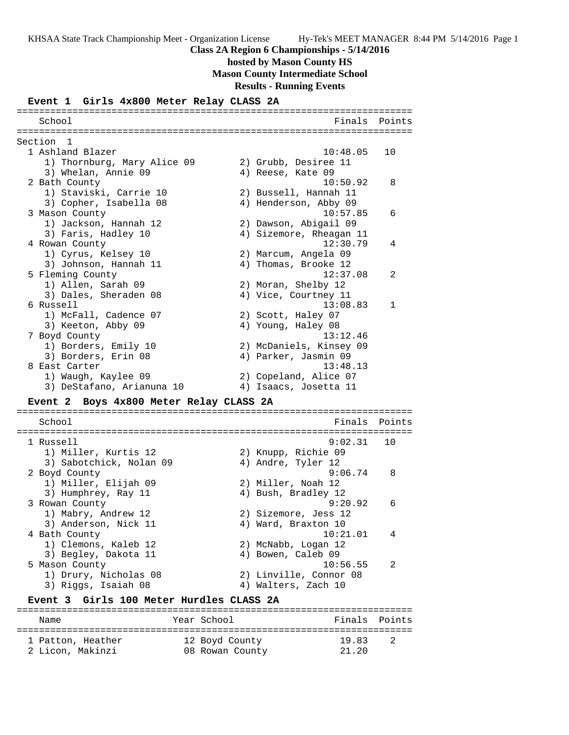**hosted by Mason County HS Mason County Intermediate School**

**Results - Running Events**

#### **Event 1 Girls 4x800 Meter Relay CLASS 2A**

======================================================================= School **Finals** Points ======================================================================= Section 1 1 Ashland Blazer 10:48.05 10 1) Thornburg, Mary Alice 09 2) Grubb, Desiree 11 3) Whelan, Annie 09 (4) Reese, Kate 09 2 Bath County 10:50.92 8 1) Staviski, Carrie 10 2) Bussell, Hannah 11 3) Copher, Isabella 08 4) Henderson, Abby 09 3 Mason County 10:57.85 6 1) Jackson, Hannah 12 2) Dawson, Abigail 09 3) Faris, Hadley 10 4) Sizemore, Rheagan 11 4 Rowan County 12:30.79 4 1) Cyrus, Kelsey 10 2) Marcum, Angela 09 3) Johnson, Hannah 11  $\hskip1cm \hskip1cm 4$ ) Thomas, Brooke 12 5 Fleming County 12:37.08 2 1) Allen, Sarah 09 2) Moran, Shelby 12 3) Dales, Sheraden 08 (4) Vice, Courtney 11 6 Russell 13:08.83 1 1) McFall, Cadence 07 2) Scott, Haley 07 3) Keeton, Abby 09 4) Young, Haley 08 7 Boyd County 13:12.46 1) Borders, Emily 10 2) McDaniels, Kinsey 09 3) Borders, Erin 08 (4) Parker, Jasmin 09 8 East Carter 13:48.13 1) Waugh, Kaylee 09 2) Copeland, Alice 07 3) DeStafano, Arianuna 10 4) Isaacs, Josetta 11 **Event 2 Boys 4x800 Meter Relay CLASS 2A** ======================================================================= School **Finals** Points ======================================================================= 1 Russell 9:02.31 10 1) Miller, Kurtis 12 2) Knupp, Richie 09 3) Sabotchick, Nolan 09  $\hskip1cm 4$ ) Andre, Tyler 12 2 Boyd County 9:06.74 8 1) Miller, Elijah 09 2) Miller, Noah 12 3) Humphrey, Ray 11 (4) Bush, Bradley 12 3 Rowan County 9:20.92 6 1) Mabry, Andrew 12 2) Sizemore, Jess 12 3) Anderson, Nick 11 (4) Ward, Braxton 10 4 Bath County 10:21.01 4 1) Clemons, Kaleb 12 2) McNabb, Logan 12 3) Begley, Dakota 11 (4) Bowen, Caleb 09 5 Mason County 10:56.55 2 1) Drury, Nicholas 08 2) Linville, Connor 08 3) Riggs, Isaiah 08 4) Walters, Zach 10 **Event 3 Girls 100 Meter Hurdles CLASS 2A** =======================================================================

Name  $Year School$  Finals Points ======================================================================= 1 Patton, Heather 12 Boyd County 19.83 2 2 Licon, Makinzi 08 Rowan County 21.20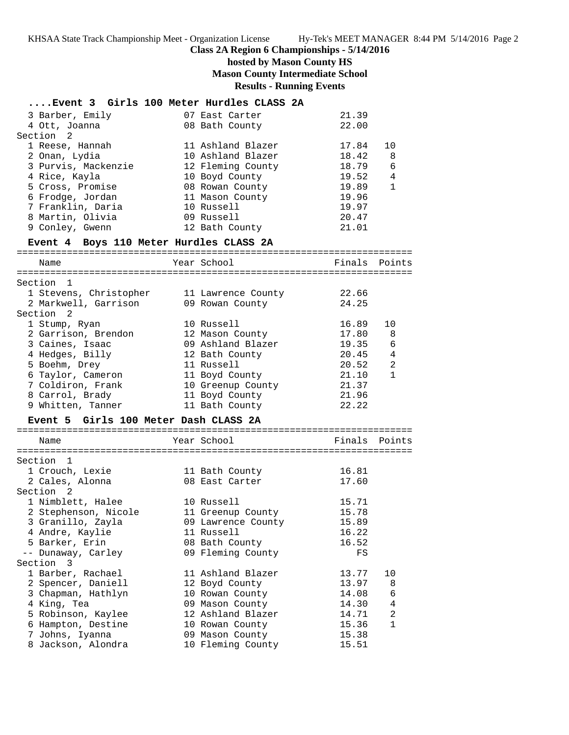KHSAA State Track Championship Meet - Organization License Hy-Tek's MEET MANAGER 8:44 PM 5/14/2016 Page 2

## **Class 2A Region 6 Championships - 5/14/2016**

## **hosted by Mason County HS Mason County Intermediate School Results - Running Events**

| Event 3 Girls 100 Meter Hurdles CLASS 2A |                                     |                |                |
|------------------------------------------|-------------------------------------|----------------|----------------|
|                                          |                                     |                |                |
| 3 Barber, Emily<br>4 Ott, Joanna         | 07 East Carter<br>08 Bath County    | 21.39<br>22.00 |                |
| 2<br>Section                             |                                     |                |                |
| 1 Reese, Hannah                          | 11 Ashland Blazer                   | 17.84          | 10             |
| 2 Onan, Lydia                            | 10 Ashland Blazer                   | 18.42          | 8              |
| 3 Purvis, Mackenzie                      | 12 Fleming County                   | 18.79          | 6              |
| 4 Rice, Kayla                            | 10 Boyd County                      | 19.52          | 4              |
| 5 Cross, Promise                         | 08 Rowan County                     | 19.89          | $\mathbf{1}$   |
| 6 Frodge, Jordan                         | 11 Mason County                     | 19.96          |                |
| 7 Franklin, Daria                        | 10 Russell                          | 19.97          |                |
| 8 Martin, Olivia                         | 09 Russell                          | 20.47          |                |
| 9 Conley, Gwenn                          | 12 Bath County                      | 21.01          |                |
| Event 4 Boys 110 Meter Hurdles CLASS 2A  |                                     |                | -------        |
| Name                                     | Year School                         | Finals         | Points         |
| Section<br>1                             |                                     |                |                |
| 1 Stevens, Christopher                   | 11 Lawrence County                  | 22.66          |                |
| 2 Markwell, Garrison                     | 09 Rowan County                     | 24.25          |                |
| Section <sub>2</sub>                     |                                     |                |                |
| 1 Stump, Ryan                            | 10 Russell                          | 16.89          | 10             |
| 2 Garrison, Brendon                      | 12 Mason County                     | 17.80          | 8              |
| 3 Caines, Isaac                          | 09 Ashland Blazer                   | 19.35          | 6              |
| 4 Hedges, Billy                          | 12 Bath County                      | 20.45          | 4              |
| 5 Boehm, Drey                            | 11 Russell                          | 20.52          | 2              |
| 6 Taylor, Cameron                        | 11 Boyd County                      | 21.10          | $\mathbf{1}$   |
| 7 Coldiron, Frank<br>8 Carrol, Brady     | 10 Greenup County<br>11 Boyd County | 21.37<br>21.96 |                |
| 9 Whitten, Tanner                        | 11 Bath County                      | 22.22          |                |
| Event 5 Girls 100 Meter Dash CLASS 2A    |                                     |                |                |
|                                          |                                     |                |                |
| Name                                     | Year School                         | Finals         | Points         |
| Section<br>1                             |                                     |                |                |
| 1 Crouch, Lexie                          | 11 Bath County                      | 16.81          |                |
| 2 Cales, Alonna                          | 08 East Carter                      | 17.60          |                |
| Section <sub>2</sub>                     |                                     |                |                |
| 1 Nimblett, Halee                        | 10 Russell                          | 15.71          |                |
| 2 Stephenson, Nicole                     | 11 Greenup County                   | 15.78          |                |
| 3 Granillo, Zayla                        | 09 Lawrence County                  | 15.89          |                |
| 4 Andre, Kaylie                          | 11 Russell                          | 16.22          |                |
| 5 Barker, Erin                           | 08 Bath County                      | 16.52          |                |
| -- Dunaway, Carley                       | 09 Fleming County                   | FS             |                |
| Section 3                                |                                     |                |                |
| 1 Barber, Rachael<br>2 Spencer, Daniell  | 11 Ashland Blazer                   | 13.77<br>13.97 | 10<br>8        |
| 3 Chapman, Hathlyn                       | 12 Boyd County<br>10 Rowan County   | 14.08          | 6              |
| 4 King, Tea                              | 09 Mason County                     | 14.30          | $\overline{4}$ |
| 5 Robinson, Kaylee                       | 12 Ashland Blazer                   | 14.71          | $\overline{a}$ |
| 6 Hampton, Destine                       | 10 Rowan County                     | 15.36          | $\mathbf{1}$   |
| 7 Johns, Iyanna                          | 09 Mason County                     | 15.38          |                |
| 8 Jackson, Alondra                       | 10 Fleming County                   | 15.51          |                |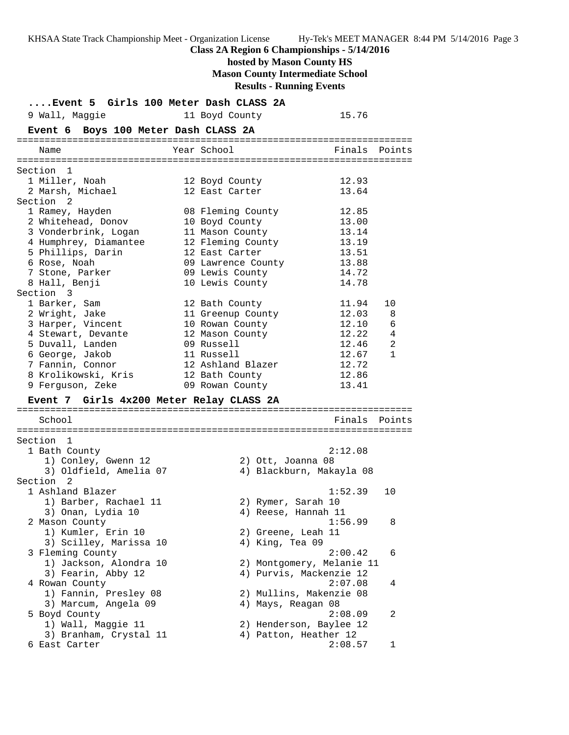KHSAA State Track Championship Meet - Organization License Hy-Tek's MEET MANAGER 8:44 PM 5/14/2016 Page 3 **Class 2A Region 6 Championships - 5/14/2016 hosted by Mason County HS Mason County Intermediate School Results - Running Events**

**....Event 5 Girls 100 Meter Dash CLASS 2A** 9 Wall, Maggie 11 Boyd County 15.76 **Event 6 Boys 100 Meter Dash CLASS 2A** ======================================================================= Year School Finals Points ======================================================================= Section 1 1 Miller, Noah 12 Boyd County 12.93 2 Marsh, Michael 12 East Carter 13.64 Section 2 1 Ramey, Hayden 08 Fleming County 12.85 2 Whitehead, Donov 10 Boyd County 13.00 3 Vonderbrink, Logan 11 Mason County 13.14 4 Humphrey, Diamantee 12 Fleming County 13.19 5 Phillips, Darin 12 East Carter 13.51 6 Rose, Noah 09 Lawrence County 13.88 7 Stone, Parker 09 Lewis County 14.72 8 Hall, Benji 10 Lewis County 14.78 Section 3 1 Barker, Sam 12 Bath County 11.94 10 2 Wright, Jake 11 Greenup County 12.03 8 3 Harper, Vincent 10 Rowan County 12.10 6 4 Stewart, Devante 12 Mason County 12.22 4 5 Duvall, Landen 09 Russell 12.46 2 6 George, Jakob 11 Russell 12.67 1 7 Fannin, Connor 12 Ashland Blazer 12.72 8 Krolikowski, Kris 12 Bath County 12.86 9 Ferguson, Zeke 09 Rowan County 13.41 **Event 7 Girls 4x200 Meter Relay CLASS 2A** ======================================================================= School **Finals Points** ======================================================================= Section 1<br>1 Bath County 1 Bath County 2:12.08 1) Conley, Gwenn 12 2) Ott, Joanna 08 3) Oldfield, Amelia 07 4) Blackburn, Makayla 08 Section 2 1 Ashland Blazer 1:52.39 10 1) Barber, Rachael 11 2) Rymer, Sarah 10 3) Onan, Lydia 10 4) Reese, Hannah 11 2 Mason County 1:56.99 8 1) Kumler, Erin 10 2) Greene, Leah 11 3) Scilley, Marissa 10 4) King, Tea 09 3 Fleming County 2:00.42 6 1) Jackson, Alondra 10 2) Montgomery, Melanie 11 3) Fearin, Abby 12 4) Purvis, Mackenzie 12 4 Rowan County 2:07.08 4 1) Fannin, Presley 08 2) Mullins, Makenzie 08 3) Marcum, Angela 09 4) Mays, Reagan 08 5 Boyd County 2:08.09 2 1) Wall, Maggie 11 2) Henderson, Baylee 12 3) Branham, Crystal 11 4) Patton, Heather 12 6 East Carter 2:08.57 1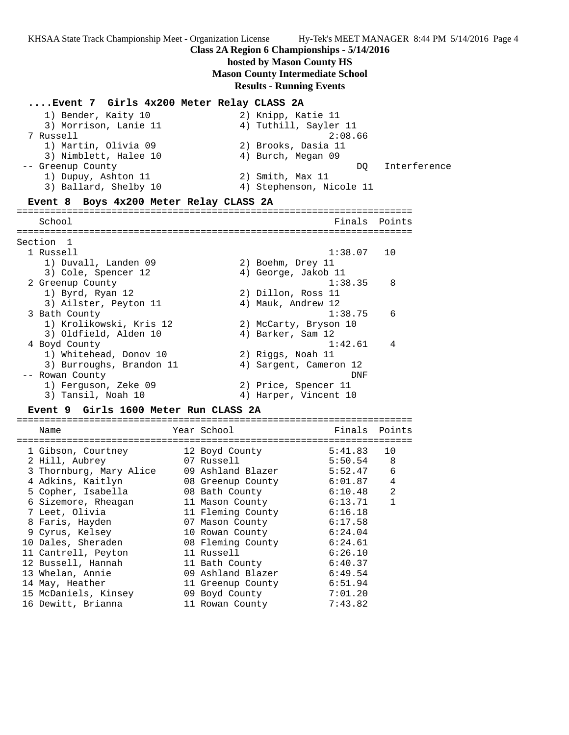KHSAA State Track Championship Meet - Organization License Hy-Tek's MEET MANAGER 8:44 PM 5/14/2016 Page 4

## **Class 2A Region 6 Championships - 5/14/2016**

# **hosted by Mason County HS Mason County Intermediate School**

**Results - Running Events**

| Event 7  Girls 4x200 Meter Relay CLASS 2A                          |                                                        |              |
|--------------------------------------------------------------------|--------------------------------------------------------|--------------|
| 1) Bender, Kaity 10<br>3) Morrison, Lanie 11<br>7 Russell          | 2) Knipp, Katie 11<br>4) Tuthill, Sayler 11<br>2:08.66 |              |
| 1) Martin, Olivia 09<br>3) Nimblett, Halee 10<br>-- Greenup County | 2) Brooks, Dasia 11<br>4) Burch, Megan 09<br>DQ        | Interference |
| 1) Dupuy, Ashton 11<br>3) Ballard, Shelby 10                       | 2) Smith, Max 11<br>4) Stephenson, Nicole 11           |              |
| Event 8 Boys 4x200 Meter Relay CLASS 2A                            | ==========                                             |              |
| School                                                             | Finals                                                 | Points       |
| Section<br>$\overline{1}$                                          |                                                        |              |
| 1 Russell                                                          | 1:38.07                                                | 10           |
| 1) Duvall, Landen 09<br>3) Cole, Spencer 12                        | 2) Boehm, Drey 11<br>4) George, Jakob 11               |              |
| 2 Greenup County                                                   | 1:38.35                                                | 8            |
| 1) Byrd, Ryan 12                                                   | 2) Dillon, Ross 11                                     |              |
| 3) Ailster, Peyton 11                                              | 4) Mauk, Andrew 12                                     |              |
| 3 Bath County<br>1) Krolikowski, Kris 12<br>3) Oldfield, Alden 10  | 1:38.75<br>2) McCarty, Bryson 10<br>4) Barker, Sam 12  | 6            |
| 4 Boyd County                                                      | 1:42.61                                                | 4            |
| 1) Whitehead, Donov 10                                             | 2) Riggs, Noah 11                                      |              |
| 3) Burroughs, Brandon 11                                           | 4) Sargent, Cameron 12                                 |              |
| -- Rowan County                                                    | DNF                                                    |              |
| 1) Ferguson, Zeke 09<br>3) Tansil, Noah 10                         | 2) Price, Spencer 11<br>4) Harper, Vincent 10          |              |
| Girls 1600 Meter Run CLASS 2A<br>Event 9                           |                                                        |              |
|                                                                    |                                                        |              |

| Name                    | Year School       | Finals  | Points |
|-------------------------|-------------------|---------|--------|
| 1 Gibson, Courtney      | 12 Boyd County    | 5:41.83 | 10     |
| 2 Hill, Aubrey          | 07 Russell        | 5:50.54 | 8      |
| 3 Thornburg, Mary Alice | 09 Ashland Blazer | 5:52.47 | 6      |
| 4 Adkins, Kaitlyn       | 08 Greenup County | 6:01.87 | 4      |
| 5 Copher, Isabella      | 08 Bath County    | 6:10.48 | 2      |
| 6 Sizemore, Rheagan     | 11 Mason County   | 6:13.71 | 1      |
| 7 Leet, Olivia          | 11 Fleming County | 6:16.18 |        |
| 8 Faris, Hayden         | 07 Mason County   | 6:17.58 |        |
| 9 Cyrus, Kelsey         | 10 Rowan County   | 6:24.04 |        |
| 10 Dales, Sheraden      | 08 Fleming County | 6:24.61 |        |
| 11 Cantrell, Peyton     | 11 Russell        | 6:26.10 |        |
| 12 Bussell, Hannah      | 11 Bath County    | 6:40.37 |        |
| 13 Whelan, Annie        | 09 Ashland Blazer | 6:49.54 |        |
| 14 May, Heather         | 11 Greenup County | 6:51.94 |        |
| 15 McDaniels, Kinsey    | 09 Boyd County    | 7:01.20 |        |
| 16 Dewitt, Brianna      | 11 Rowan County   | 7:43.82 |        |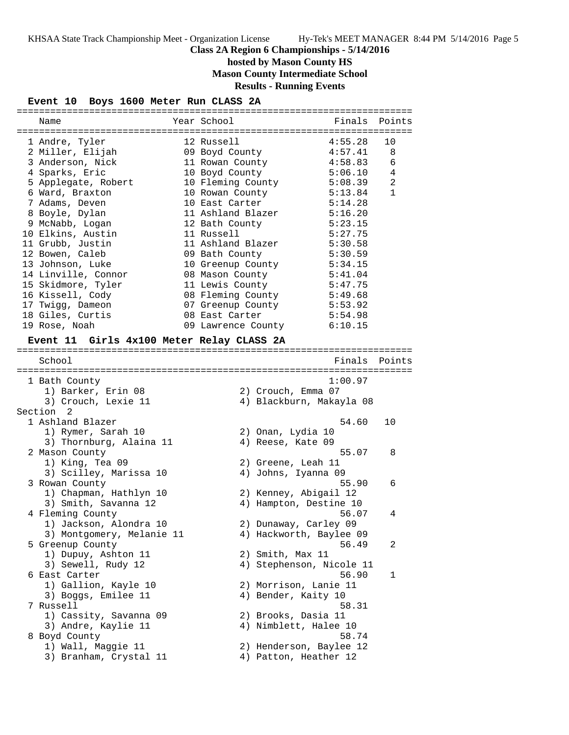# **hosted by Mason County HS**

**Mason County Intermediate School**

**Results - Running Events**

#### **Event 10 Boys 1600 Meter Run CLASS 2A**

| Name                                      | Year School        | Finals                   | Points       |
|-------------------------------------------|--------------------|--------------------------|--------------|
|                                           |                    |                          |              |
| 1 Andre, Tyler                            | 12 Russell         | 4:55.28                  | 10           |
| 2 Miller, Elijah                          | 09 Boyd County     | 4:57.41                  | 8            |
| 3 Anderson, Nick                          | 11 Rowan County    | 4:58.83                  | 6            |
| 4 Sparks, Eric                            | 10 Boyd County     | 5:06.10                  | 4            |
| 5 Applegate, Robert                       | 10 Fleming County  | 5:08.39                  | 2            |
| 6 Ward, Braxton                           | 10 Rowan County    | 5:13.84                  | $\mathbf{1}$ |
| 7 Adams, Deven                            | 10 East Carter     | 5:14.28                  |              |
| 8 Boyle, Dylan                            | 11 Ashland Blazer  | 5:16.20                  |              |
| 9 McNabb, Logan                           | 12 Bath County     | 5:23.15                  |              |
| 10 Elkins, Austin                         | 11 Russell         | 5:27.75                  |              |
| 11 Grubb, Justin                          | 11 Ashland Blazer  | 5:30.58                  |              |
| 12 Bowen, Caleb                           | 09 Bath County     | 5:30.59                  |              |
| 13 Johnson, Luke                          | 10 Greenup County  | 5:34.15                  |              |
| 14 Linville, Connor                       | 08 Mason County    | 5:41.04                  |              |
| 15 Skidmore, Tyler                        | 11 Lewis County    | 5:47.75                  |              |
| 16 Kissell, Cody                          | 08 Fleming County  | 5:49.68                  |              |
| 17 Twigg, Dameon                          | 07 Greenup County  | 5:53.92                  |              |
| 18 Giles, Curtis                          | 08 East Carter     | 5:54.98                  |              |
| 19 Rose, Noah                             | 09 Lawrence County | 6:10.15                  |              |
| Event 11 Girls 4x100 Meter Relay CLASS 2A |                    |                          |              |
|                                           |                    |                          |              |
| School                                    |                    | Finals                   | Points       |
|                                           |                    |                          |              |
| 1 Bath County                             |                    | 1:00.97                  |              |
| 1) Barker, Erin 08                        |                    | 2) Crouch, Emma 07       |              |
| 3) Crouch, Lexie 11                       |                    | 4) Blackburn, Makayla 08 |              |
| Section 2                                 |                    |                          |              |
| 1 Ashland Blazer                          |                    | 54.60                    | 10           |
| 1) Rymer, Sarah 10                        |                    | 2) Onan, Lydia 10        |              |
| 3) Thornburg, Alaina 11                   |                    | 4) Reese, Kate 09        |              |
| 2 Mason County                            |                    | 55.07                    | 8            |
| 1) King, Tea 09                           |                    | 2) Greene, Leah 11       |              |
| 3) Scilley, Marissa 10                    |                    | 4) Johns, Iyanna 09      |              |
| 3 Rowan County                            |                    | 55.90                    | 6            |
| 1) Chapman, Hathlyn 10                    |                    | 2) Kenney, Abigail 12    |              |
| 3) Smith, Savanna 12                      |                    | 4) Hampton, Destine 10   |              |
| 4 Fleming County                          |                    | 56.07                    | 4            |
| 1) Jackson, Alondra 10                    |                    | 2) Dunaway, Carley 09    |              |
| 3) Montgomery, Melanie 11                 |                    | 4) Hackworth, Baylee 09  |              |
| 5 Greenup County                          |                    | 56.49                    | 2            |
| 1) Dupuy, Ashton 11                       |                    | 2) Smith, Max 11         |              |
| 3) Sewell, Rudy 12                        |                    | 4) Stephenson, Nicole 11 |              |
| 6 East Carter                             |                    | 56.90                    | 1            |
| 1) Gallion, Kayle 10                      |                    | 2) Morrison, Lanie 11    |              |
| 3) Boggs, Emilee 11                       |                    | 4) Bender, Kaity 10      |              |
| 7 Russell                                 |                    | 58.31                    |              |
| 1) Cassity, Savanna 09                    |                    | 2) Brooks, Dasia 11      |              |
| 3) Andre, Kaylie 11                       |                    | 4) Nimblett, Halee 10    |              |
| 8 Boyd County                             |                    | 58.74                    |              |
| 1) Wall, Maggie 11                        |                    | 2) Henderson, Baylee 12  |              |
| 3) Branham, Crystal 11                    |                    | 4) Patton, Heather 12    |              |
|                                           |                    |                          |              |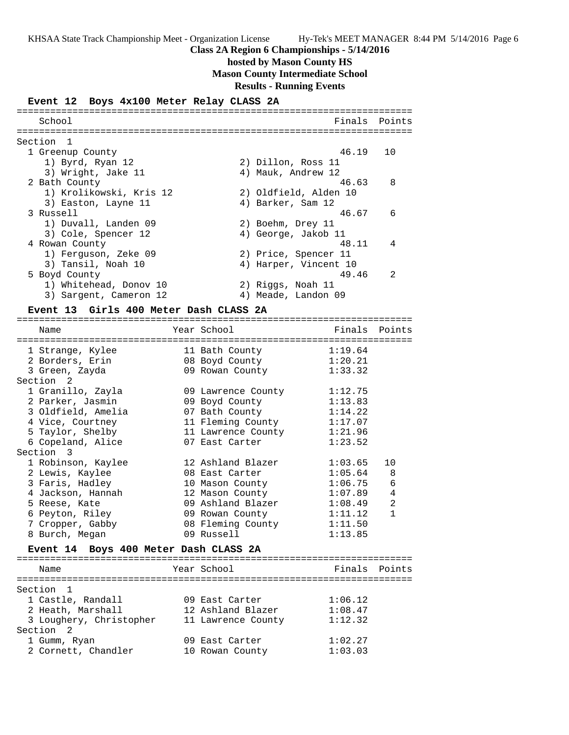# **hosted by Mason County HS**

**Mason County Intermediate School**

**Results - Running Events**

#### **Event 12 Boys 4x100 Meter Relay CLASS 2A**

| School                    | Finals                | Points         |
|---------------------------|-----------------------|----------------|
| Section<br>$\overline{1}$ |                       |                |
| 1 Greenup County          | 46.19                 | 10             |
| 1) Byrd, Ryan 12          | 2) Dillon, Ross 11    |                |
| 3) Wright, Jake 11        | 4) Mauk, Andrew 12    |                |
| 2 Bath County             | 46.63                 | 8              |
| 1) Krolikowski, Kris 12   | 2) Oldfield, Alden 10 |                |
| 3) Easton, Layne 11       | 4) Barker, Sam 12     |                |
| 3 Russell                 | 46.67                 | 6              |
| 1) Duvall, Landen 09      | 2) Boehm, Drey 11     |                |
| 3) Cole, Spencer 12       | 4) George, Jakob 11   |                |
| 4 Rowan County            | 48.11                 | 4              |
| 1) Ferguson, Zeke 09      | 2) Price, Spencer 11  |                |
| 3) Tansil, Noah 10        | 4) Harper, Vincent 10 |                |
| 5 Boyd County             | 49.46                 | $\mathfrak{D}$ |
| 1) Whitehead, Donov 10    | 2) Riggs, Noah 11     |                |
| 3) Sargent, Cameron 12    | 4) Meade, Landon 09   |                |

#### **Event 13 Girls 400 Meter Dash CLASS 2A**

======================================================================= Name Year School Finals Points ======================================================================= 1 Strange, Kylee 11 Bath County 1:19.64 2 Borders, Erin 08 Boyd County 1:20.21 3 Green, Zayda 09 Rowan County 1:33.32 Section 2 1 Granillo, Zayla 09 Lawrence County 1:12.75 2 Parker, Jasmin 09 Boyd County 1:13.83 3 Oldfield, Amelia 07 Bath County 1:14.22 4 Vice, Courtney 11 Fleming County 1:17.07 5 Taylor, Shelby 11 Lawrence County 1:21.96 6 Copeland, Alice 07 East Carter 1:23.52 Section 3 1 Robinson, Kaylee 12 Ashland Blazer 1:03.65 10 2 Lewis, Kaylee 08 East Carter 1:05.64 8 3 Faris, Hadley 10 Mason County 1:06.75 6 4 Jackson, Hannah 12 Mason County 1:07.89 4 5 Reese, Kate 09 Ashland Blazer 1:08.49 2 6 Peyton, Riley 09 Rowan County 1:11.12 1 7 Cropper, Gabby 08 Fleming County 1:11.50 8 Burch, Megan 09 Russell 1:13.85 **Event 14 Boys 400 Meter Dash CLASS 2A** ======================================================================= Name The Year School The Finals Points ======================================================================= Section 1

 1 Castle, Randall 09 East Carter 1:06.12 2 Heath, Marshall 12 Ashland Blazer 1:08.47 3 Loughery, Christopher 11 Lawrence County 1:12.32

 1 Gumm, Ryan 09 East Carter 1:02.27 2 Cornett, Chandler 10 Rowan County 1:03.03

Section 2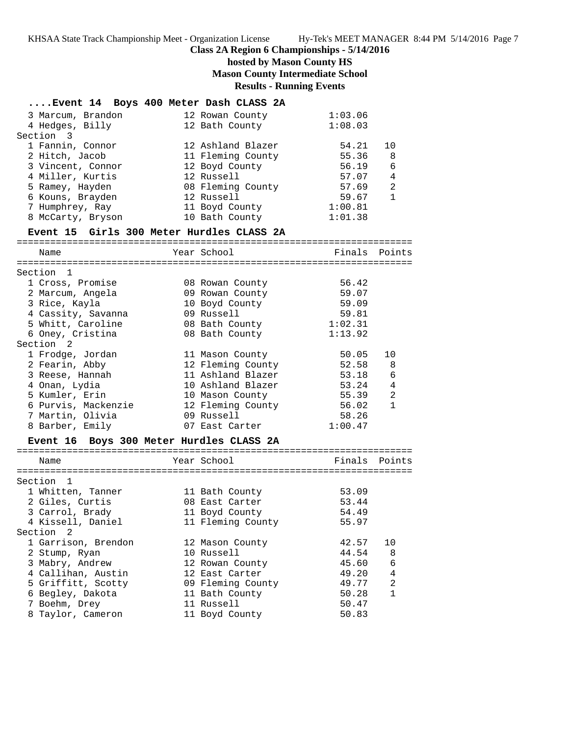## **hosted by Mason County HS Mason County Intermediate School Results - Running Events**

|                                           | Event 14 Boys 400 Meter Dash CLASS 2A |               |                |
|-------------------------------------------|---------------------------------------|---------------|----------------|
| 3 Marcum, Brandon                         | 12 Rowan County                       | 1:03.06       |                |
| 4 Hedges, Billy                           | 12 Bath County                        | 1:08.03       |                |
| Section 3                                 |                                       |               |                |
| 1 Fannin, Connor                          | 12 Ashland Blazer                     | 54.21         | 10             |
| 2 Hitch, Jacob                            | 11 Fleming County                     | 55.36         | 8              |
| 3 Vincent, Connor                         | 12 Boyd County                        | 56.19         | 6              |
| 4 Miller, Kurtis                          | 12 Russell                            | 57.07         | 4              |
| 5 Ramey, Hayden                           | 08 Fleming County                     | 57.69         | 2              |
| 6 Kouns, Brayden                          | 12 Russell                            | 59.67         | $\mathbf{1}$   |
| 7 Humphrey, Ray                           | 11 Boyd County                        | 1:00.81       |                |
| 8 McCarty, Bryson                         | 10 Bath County                        | 1:01.38       |                |
| Event 15 Girls 300 Meter Hurdles CLASS 2A |                                       |               |                |
|                                           |                                       |               |                |
| Name                                      | Year School                           | Finals        | Points         |
| Section 1                                 |                                       |               |                |
| 1 Cross, Promise                          | 08 Rowan County                       | 56.42         |                |
| 2 Marcum, Angela                          | 09 Rowan County                       | 59.07         |                |
| 3 Rice, Kayla                             | 10 Boyd County                        | 59.09         |                |
| 4 Cassity, Savanna                        | 09 Russell                            | 59.81         |                |
| 5 Whitt, Caroline                         | 08 Bath County                        | 1:02.31       |                |
| 6 Oney, Cristina                          | 08 Bath County                        | 1:13.92       |                |
| Section <sub>2</sub>                      |                                       |               |                |
| 1 Frodge, Jordan                          | 11 Mason County                       | 50.05         | 10             |
| 2 Fearin, Abby                            | 12 Fleming County                     | 52.58         | 8              |
| 3 Reese, Hannah                           | 11 Ashland Blazer                     | 53.18         | 6              |
| 4 Onan, Lydia                             | 10 Ashland Blazer                     | 53.24         | $\overline{4}$ |
| 5 Kumler, Erin                            | 10 Mason County                       | 55.39         | 2              |
| 6 Purvis, Mackenzie                       | 12 Fleming County                     | 56.02         | $\mathbf{1}$   |
| 7 Martin, Olivia                          | 09 Russell                            | 58.26         |                |
| 8 Barber, Emily                           | 07 East Carter                        | 1:00.47       |                |
| Event 16 Boys 300 Meter Hurdles CLASS 2A  |                                       |               |                |
|                                           |                                       |               |                |
| Name                                      | Year School                           | Finals Points |                |
|                                           |                                       |               |                |
| $\overline{\phantom{0}}$<br>Section       |                                       |               |                |
| 1 Whitten, Tanner                         | 11 Bath County                        | 53.09         |                |
| 2 Giles, Curtis                           | 08 East Carter                        | 53.44         |                |
| 3 Carrol, Brady                           | 11 Boyd County                        | 54.49         |                |
| 4 Kissell, Daniel                         | 11 Fleming County                     | 55.97         |                |
| Section 2                                 |                                       |               |                |
| 1 Garrison, Brendon                       | 12 Mason County                       | 42.57         | 10             |
| 2 Stump, Ryan                             | 10 Russell                            | 44.54         | 8              |
| 3 Mabry, Andrew                           | 12 Rowan County                       | 45.60         | 6              |
| 4 Callihan, Austin                        | 12 East Carter                        | 49.20         | 4              |
| 5 Griffitt, Scotty                        | 09 Fleming County                     | 49.77         | 2              |
| 6 Begley, Dakota                          | 11 Bath County                        | 50.28         | $\mathbf{1}$   |
| 7 Boehm, Drey                             | 11 Russell                            | 50.47         |                |
| 8 Taylor, Cameron                         | 11 Boyd County                        | 50.83         |                |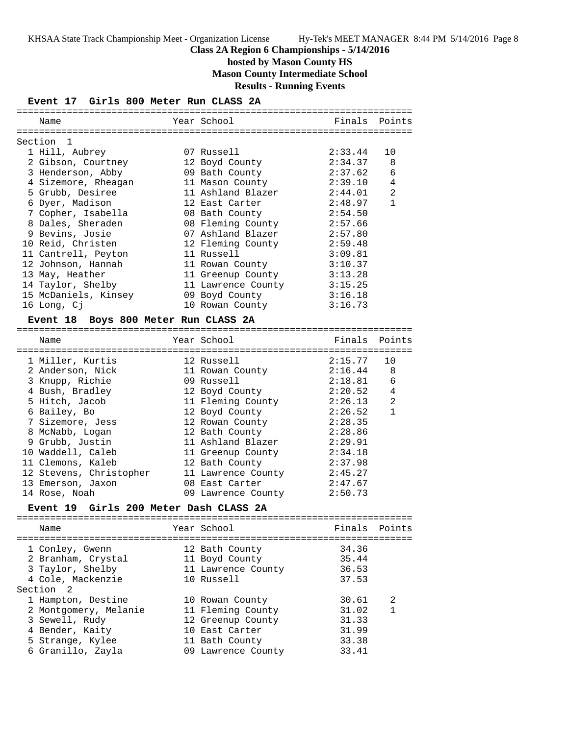# **hosted by Mason County HS**

**Mason County Intermediate School**

**Results - Running Events**

#### **Event 17 Girls 800 Meter Run CLASS 2A**

| Name                                             | Year School        | Finals  | Points         |
|--------------------------------------------------|--------------------|---------|----------------|
|                                                  |                    |         |                |
| Section<br>1                                     |                    |         |                |
| 1 Hill, Aubrey                                   | 07 Russell         | 2:33.44 | 10             |
| 2 Gibson, Courtney                               | 12 Boyd County     | 2:34.37 | 8              |
| 3 Henderson, Abby                                | 09 Bath County     | 2:37.62 | 6              |
| 4 Sizemore, Rheagan                              | 11 Mason County    | 2:39.10 | 4              |
| 5 Grubb, Desiree                                 | 11 Ashland Blazer  | 2:44.01 | $\overline{a}$ |
| 6 Dyer, Madison                                  | 12 East Carter     | 2:48.97 | $\mathbf{1}$   |
| 7 Copher, Isabella                               | 08 Bath County     | 2:54.50 |                |
| 8 Dales, Sheraden                                | 08 Fleming County  | 2:57.66 |                |
| 9 Bevins, Josie                                  | 07 Ashland Blazer  | 2:57.80 |                |
| 10 Reid, Christen                                | 12 Fleming County  | 2:59.48 |                |
| 11 Cantrell, Peyton                              | 11 Russell         | 3:09.81 |                |
| 12 Johnson, Hannah                               |                    | 3:10.37 |                |
|                                                  | 11 Rowan County    |         |                |
| 13 May, Heather                                  | 11 Greenup County  | 3:13.28 |                |
| 14 Taylor, Shelby                                | 11 Lawrence County | 3:15.25 |                |
| 15 McDaniels, Kinsey                             | 09 Boyd County     | 3:16.18 |                |
| 16 Long, Cj                                      | 10 Rowan County    | 3:16.73 |                |
| <b>Event 18</b><br>Boys 800 Meter Run CLASS 2A   |                    |         |                |
| Name                                             | Year School        | Finals  | Points         |
|                                                  |                    |         |                |
| 1 Miller, Kurtis                                 | 12 Russell         | 2:15.77 | 10             |
| 2 Anderson, Nick                                 | 11 Rowan County    | 2:16.44 | 8              |
| 3 Knupp, Richie                                  | 09 Russell         | 2:18.81 | 6              |
| 4 Bush, Bradley                                  | 12 Boyd County     | 2:20.52 | 4              |
| 5 Hitch, Jacob                                   | 11 Fleming County  | 2:26.13 | 2              |
| 6 Bailey, Bo                                     | 12 Boyd County     | 2:26.52 | $\mathbf{1}$   |
| 7 Sizemore, Jess                                 | 12 Rowan County    | 2:28.35 |                |
|                                                  |                    | 2:28.86 |                |
| 8 McNabb, Logan                                  | 12 Bath County     |         |                |
| 9 Grubb, Justin                                  | 11 Ashland Blazer  | 2:29.91 |                |
| 10 Waddell, Caleb                                | 11 Greenup County  | 2:34.18 |                |
| 11 Clemons, Kaleb                                | 12 Bath County     | 2:37.98 |                |
| 12 Stevens, Christopher                          | 11 Lawrence County | 2:45.27 |                |
| 13 Emerson, Jaxon                                | 08 East Carter     | 2:47.67 |                |
| 14 Rose, Noah                                    | 09 Lawrence County | 2:50.73 |                |
| Girls 200 Meter Dash CLASS 2A<br><b>Event 19</b> |                    |         |                |
| Name                                             | Year School        | Finals  | Points         |
|                                                  |                    |         |                |
| 1 Conley, Gwenn                                  | 12 Bath County     | 34.36   |                |
| 2 Branham, Crystal                               | 11 Boyd County     | 35.44   |                |
| 3 Taylor, Shelby                                 | 11 Lawrence County | 36.53   |                |
| 4 Cole, Mackenzie                                | 10 Russell         | 37.53   |                |
| Section 2                                        |                    |         |                |
| 1 Hampton, Destine                               | 10 Rowan County    | 30.61   | 2              |
| 2 Montgomery, Melanie                            | 11 Fleming County  | 31.02   | $\mathbf{1}$   |
| 3 Sewell, Rudy                                   |                    |         |                |
|                                                  | 12 Greenup County  | 31.33   |                |
| 4 Bender, Kaity                                  | 10 East Carter     | 31.99   |                |
| 5 Strange, Kylee                                 | 11 Bath County     | 33.38   |                |
| 6 Granillo, Zayla                                | 09 Lawrence County | 33.41   |                |

=======================================================================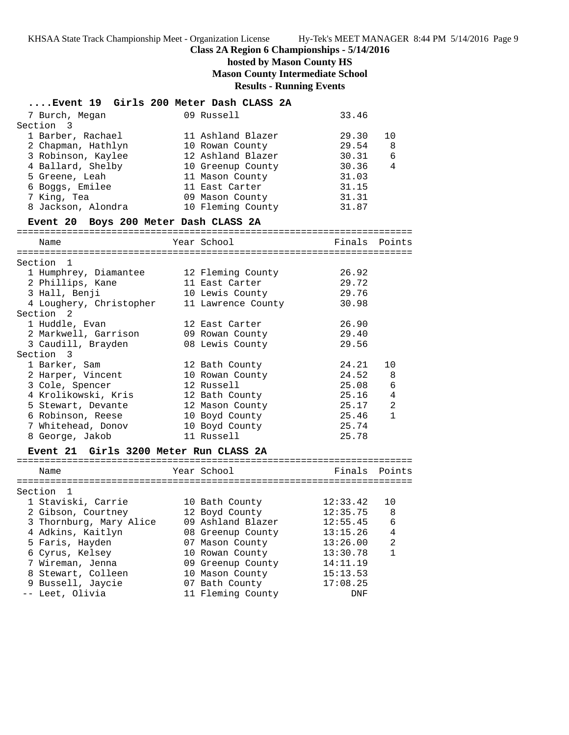# **hosted by Mason County HS Mason County Intermediate School**

#### **Results - Running Events ....Event 19 Girls 200 Meter Dash CLASS 2A** 7 Burch, Megan 09 Russell 33.46 Section 3 1 Barber, Rachael 11 Ashland Blazer 29.30 10 2 Chapman, Hathlyn 10 Rowan County 29.54 8 3 Robinson, Kaylee 12 Ashland Blazer 30.31 6 4 Ballard, Shelby 10 Greenup County 30.36 4 5 Greene, Leah 11 Mason County 31.03 6 Boggs, Emilee 11 East Carter 31.15 7 King, Tea 09 Mason County 31.31 8 Jackson, Alondra 10 Fleming County 31.87 **Event 20 Boys 200 Meter Dash CLASS 2A** ======================================================================= Name The Year School The Points Points Points ======================================================================= Section 1 1 Humphrey, Diamantee 12 Fleming County 26.92 2 Phillips, Kane 11 East Carter 29.72 3 Hall, Benji 10 Lewis County 29.76 4 Loughery, Christopher 11 Lawrence County 30.98 Section 2 1 Huddle, Evan 12 East Carter 26.90 2 Markwell, Garrison 09 Rowan County 29.40 3 Caudill, Brayden 08 Lewis County 29.56 Section 3 1 Barker, Sam 12 Bath County 24.21 10 2 Harper, Vincent 10 Rowan County 24.52 8 3 Cole, Spencer 12 Russell 25.08 6 4 Krolikowski, Kris 12 Bath County 25.16 4 5 Stewart, Devante 12 Mason County 25.17 2 6 Robinson, Reese 10 Boyd County 25.46 1 7 Whitehead, Donov 10 Boyd County 25.74 8 George, Jakob 11 Russell 25.78

#### **Event 21 Girls 3200 Meter Run CLASS 2A**

======================================================================= Name The Year School The Finals Points ======================================================================= Section 1 1 Staviski, Carrie 10 Bath County 12:33.42 10 2 Gibson, Courtney 12 Boyd County 12:35.75 8 3 Thornburg, Mary Alice 09 Ashland Blazer 12:55.45 6 4 Adkins, Kaitlyn 08 Greenup County 13:15.26 4 5 Faris, Hayden 07 Mason County 13:26.00 2 6 Cyrus, Kelsey 10 Rowan County 13:30.78 1 7 Wireman, Jenna 09 Greenup County 14:11.19 8 Stewart, Colleen 10 Mason County 15:13.53 9 Bussell, Jaycie 07 Bath County 17:08.25 -- Leet, Olivia 11 Fleming County DNF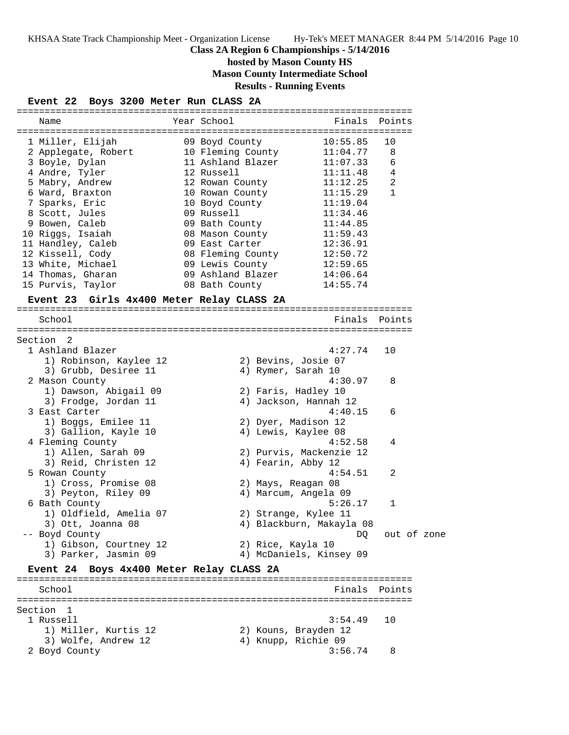**hosted by Mason County HS**

**Mason County Intermediate School**

**Results - Running Events**

| Event 22 Boys 3200 Meter Run CLASS 2A |  |  |  |  |  |  |
|---------------------------------------|--|--|--|--|--|--|
|---------------------------------------|--|--|--|--|--|--|

| Name                                      | Year School                     | Finals                     | Points        |  |
|-------------------------------------------|---------------------------------|----------------------------|---------------|--|
|                                           |                                 |                            |               |  |
| 1 Miller, Elijah                          | 09 Boyd County                  | 10:55.85                   | 10            |  |
| 2 Applegate, Robert                       | 10 Fleming County               | 11:04.77                   | 8             |  |
| 3 Boyle, Dylan                            | 11 Ashland Blazer               | 11:07.33                   | 6             |  |
| 4 Andre, Tyler                            | 12 Russell                      | 11:11.48                   | 4             |  |
| 5 Mabry, Andrew                           | 12 Rowan County                 | 11:12.25                   | 2             |  |
| 6 Ward, Braxton                           | 10 Rowan County                 | 11:15.29                   | $\mathbf{1}$  |  |
| 7 Sparks, Eric                            | 10 Boyd County                  | 11:19.04                   |               |  |
| 8 Scott, Jules                            | 09 Russell                      | 11:34.46                   |               |  |
| 9 Bowen, Caleb                            | 09 Bath County                  | 11:44.85                   |               |  |
| 10 Riggs, Isaiah                          | 08 Mason County                 | 11:59.43                   |               |  |
| 11 Handley, Caleb                         | 09 East Carter                  | 12:36.91                   |               |  |
| 12 Kissell, Cody                          |                                 | 08 Fleming County 12:50.72 |               |  |
| 13 White, Michael                         | 09 Lewis County                 | 12:59.65                   |               |  |
| 14 Thomas, Gharan                         | 09 Ashland Blazer               | 14:06.64                   |               |  |
| 15 Purvis, Taylor                         | 08 Bath County                  | 14:55.74                   |               |  |
|                                           |                                 |                            |               |  |
| Event 23 Girls 4x400 Meter Relay CLASS 2A |                                 |                            |               |  |
| School                                    |                                 |                            | Finals Points |  |
|                                           |                                 |                            |               |  |
| Section 2                                 |                                 |                            |               |  |
| 1 Ashland Blazer                          |                                 | 4:27.74                    | 10            |  |
| 1) Robinson, Kaylee 12                    |                                 | 2) Bevins, Josie 07        |               |  |
| 3) Grubb, Desiree 11                      |                                 | 4) Rymer, Sarah 10         |               |  |
| 2 Mason County                            |                                 | 4:30.97                    | 8             |  |
| 1) Dawson, Abigail 09                     |                                 | 2) Faris, Hadley 10        |               |  |
| 3) Frodge, Jordan 11                      |                                 | 4) Jackson, Hannah 12      |               |  |
| 3 East Carter                             |                                 | 4:40.15                    | 6             |  |
|                                           |                                 |                            |               |  |
| 1) Boggs, Emilee 11                       |                                 | 2) Dyer, Madison 12        |               |  |
| 3) Gallion, Kayle 10                      |                                 | 4) Lewis, Kaylee 08        |               |  |
| 4 Fleming County                          |                                 | 4:52.58                    | 4             |  |
| 1) Allen, Sarah 09                        |                                 | 2) Purvis, Mackenzie 12    |               |  |
| 3) Reid, Christen 12                      |                                 | 4) Fearin, Abby 12         |               |  |
| 5 Rowan County                            |                                 | 4:54.51                    | 2             |  |
| 1) Cross, Promise 08                      |                                 | 2) Mays, Reagan 08         |               |  |
| 3) Peyton, Riley 09                       |                                 | 4) Marcum, Angela 09       |               |  |
| 6 Bath County                             |                                 | 5:26.17                    | 1             |  |
| 1) Oldfield, Amelia 07                    |                                 | 2) Strange, Kylee 11       |               |  |
| 3) Ott, Joanna 08                         |                                 | 4) Blackburn, Makayla 08   |               |  |
| -- Boyd County                            |                                 | DQ.                        | out of zone   |  |
| 1) Gibson, Courtney 12                    |                                 | 2) Rice, Kayla 10          |               |  |
| 3) Parker, Jasmin 09                      |                                 | 4) McDaniels, Kinsey 09    |               |  |
| <b>Event 24</b>                           | Boys 4x400 Meter Relay CLASS 2A |                            |               |  |
|                                           |                                 |                            |               |  |
| School                                    |                                 | Finals                     | Points        |  |
|                                           |                                 |                            |               |  |
| Section<br>$\mathbf{1}$                   |                                 |                            |               |  |
| 1 Russell                                 |                                 | 3:54.49                    | 10            |  |
| 1) Miller, Kurtis 12                      |                                 | 2) Kouns, Brayden 12       |               |  |
| 3) Wolfe, Andrew 12                       |                                 | 4) Knupp, Richie 09        |               |  |
| 2 Boyd County                             |                                 | 3:56.74                    | 8             |  |